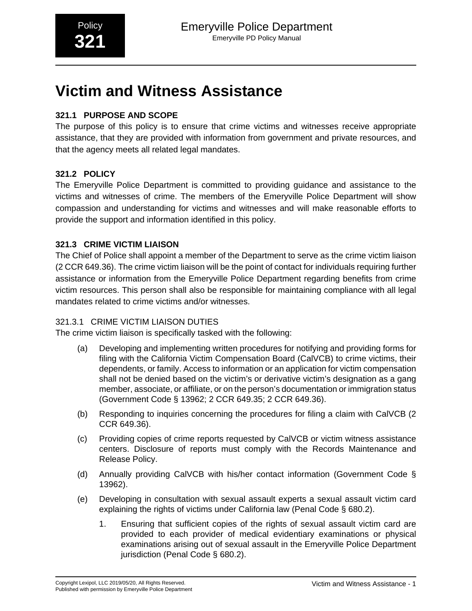# **Victim and Witness Assistance**

# **321.1 PURPOSE AND SCOPE**

The purpose of this policy is to ensure that crime victims and witnesses receive appropriate assistance, that they are provided with information from government and private resources, and that the agency meets all related legal mandates.

# **321.2 POLICY**

The Emeryville Police Department is committed to providing guidance and assistance to the victims and witnesses of crime. The members of the Emeryville Police Department will show compassion and understanding for victims and witnesses and will make reasonable efforts to provide the support and information identified in this policy.

# **321.3 CRIME VICTIM LIAISON**

The Chief of Police shall appoint a member of the Department to serve as the crime victim liaison (2 CCR 649.36). The crime victim liaison will be the point of contact for individuals requiring further assistance or information from the Emeryville Police Department regarding benefits from crime victim resources. This person shall also be responsible for maintaining compliance with all legal mandates related to crime victims and/or witnesses.

# 321.3.1 CRIME VICTIM LIAISON DUTIES

The crime victim liaison is specifically tasked with the following:

- (a) Developing and implementing written procedures for notifying and providing forms for filing with the California Victim Compensation Board (CalVCB) to crime victims, their dependents, or family. Access to information or an application for victim compensation shall not be denied based on the victim's or derivative victim's designation as a gang member, associate, or affiliate, or on the person's documentation or immigration status (Government Code § 13962; 2 CCR 649.35; 2 CCR 649.36).
- (b) Responding to inquiries concerning the procedures for filing a claim with CalVCB (2 CCR 649.36).
- (c) Providing copies of crime reports requested by CalVCB or victim witness assistance centers. Disclosure of reports must comply with the Records Maintenance and Release Policy.
- (d) Annually providing CalVCB with his/her contact information (Government Code § 13962).
- (e) Developing in consultation with sexual assault experts a sexual assault victim card explaining the rights of victims under California law (Penal Code § 680.2).
	- 1. Ensuring that sufficient copies of the rights of sexual assault victim card are provided to each provider of medical evidentiary examinations or physical examinations arising out of sexual assault in the Emeryville Police Department jurisdiction (Penal Code § 680.2).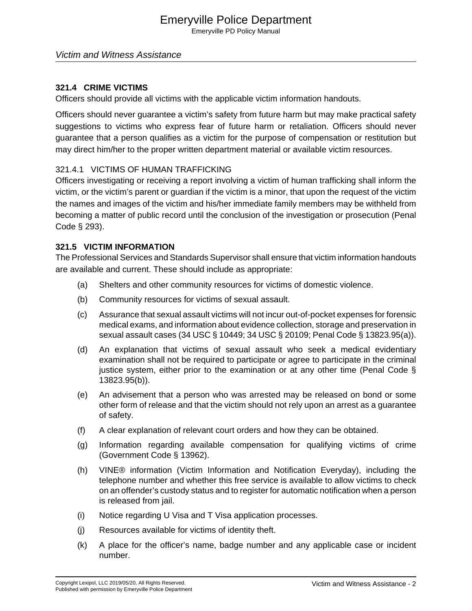# Emeryville Police Department

Emeryville PD Policy Manual

#### Victim and Witness Assistance

#### **321.4 CRIME VICTIMS**

Officers should provide all victims with the applicable victim information handouts.

Officers should never guarantee a victim's safety from future harm but may make practical safety suggestions to victims who express fear of future harm or retaliation. Officers should never guarantee that a person qualifies as a victim for the purpose of compensation or restitution but may direct him/her to the proper written department material or available victim resources.

#### 321.4.1 VICTIMS OF HUMAN TRAFFICKING

Officers investigating or receiving a report involving a victim of human trafficking shall inform the victim, or the victim's parent or guardian if the victim is a minor, that upon the request of the victim the names and images of the victim and his/her immediate family members may be withheld from becoming a matter of public record until the conclusion of the investigation or prosecution (Penal Code § 293).

#### **321.5 VICTIM INFORMATION**

The Professional Services and Standards Supervisor shall ensure that victim information handouts are available and current. These should include as appropriate:

- (a) Shelters and other community resources for victims of domestic violence.
- (b) Community resources for victims of sexual assault.
- (c) Assurance that sexual assault victims will not incur out-of-pocket expenses for forensic medical exams, and information about evidence collection, storage and preservation in sexual assault cases (34 USC § 10449; 34 USC § 20109; Penal Code § 13823.95(a)).
- (d) An explanation that victims of sexual assault who seek a medical evidentiary examination shall not be required to participate or agree to participate in the criminal justice system, either prior to the examination or at any other time (Penal Code § 13823.95(b)).
- (e) An advisement that a person who was arrested may be released on bond or some other form of release and that the victim should not rely upon an arrest as a guarantee of safety.
- (f) A clear explanation of relevant court orders and how they can be obtained.
- (g) Information regarding available compensation for qualifying victims of crime (Government Code § 13962).
- (h) VINE® information (Victim Information and Notification Everyday), including the telephone number and whether this free service is available to allow victims to check on an offender's custody status and to register for automatic notification when a person is released from jail.
- (i) Notice regarding U Visa and T Visa application processes.
- (j) Resources available for victims of identity theft.
- (k) A place for the officer's name, badge number and any applicable case or incident number.